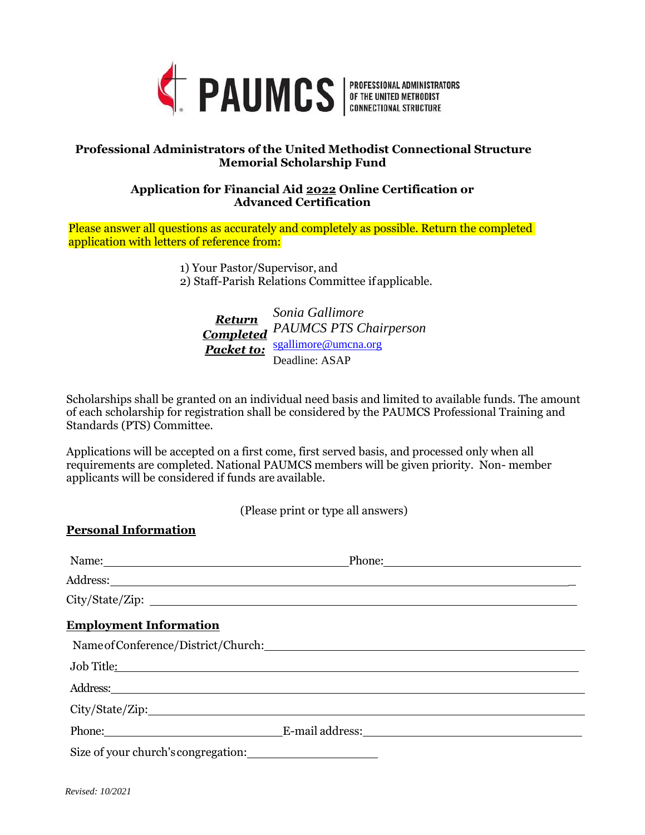

## **Professional Administrators of the United Methodist Connectional Structure Memorial Scholarship Fund**

## **Application for Financial Aid 2022 Online Certification or Advanced Certification**

Please answer all questions as accurately and completely as possible. Return the completed application with letters of reference from:

> 1) Your Pastor/Supervisor, and 2) Staff-Parish Relations Committee if applicable.

| <b>Return</b>     | Sonia Gallimore<br><b>Completed</b> PAUMCS PTS Chairperson |
|-------------------|------------------------------------------------------------|
| <b>Packet to:</b> | sgallimore@umcna.org                                       |
|                   | Deadline: ASAP                                             |

Scholarships shall be granted on an individual need basis and limited to available funds. The amount of each scholarship for registration shall be considered by the PAUMCS Professional Training and Standards (PTS) Committee.

Applications will be accepted on a first come, first served basis, and processed only when all requirements are completed. National PAUMCS members will be given priority. Non- member applicants will be considered if funds are available.

(Please print or type all answers)

| Name: Phone: Phone: Phone: Phone: Phone: Phone: Phone: Phone: Phone: Phone: Phone: Phone: Phone: Phone: Phone: Phone: Phone: Phone: Phone: Phone: Phone: Phone: Phone: Phone: Phone: Phone: Phone: Phone: Phone: Phone: Phone: |  |
|--------------------------------------------------------------------------------------------------------------------------------------------------------------------------------------------------------------------------------|--|
|                                                                                                                                                                                                                                |  |
|                                                                                                                                                                                                                                |  |
| <b>Employment Information</b>                                                                                                                                                                                                  |  |
| Name of Conference/District/Church: Change and Conference Conference Control of Conference Control of Control of Control of Control of Control of Control of Control of Control of Control of Control of Control of Control of |  |
| Job Title <u>:</u>                                                                                                                                                                                                             |  |
| Address: Address:                                                                                                                                                                                                              |  |
|                                                                                                                                                                                                                                |  |
| Phone: <u>E-mail address:</u>                                                                                                                                                                                                  |  |
| Size of your church's congregation:                                                                                                                                                                                            |  |

**Personal Information**